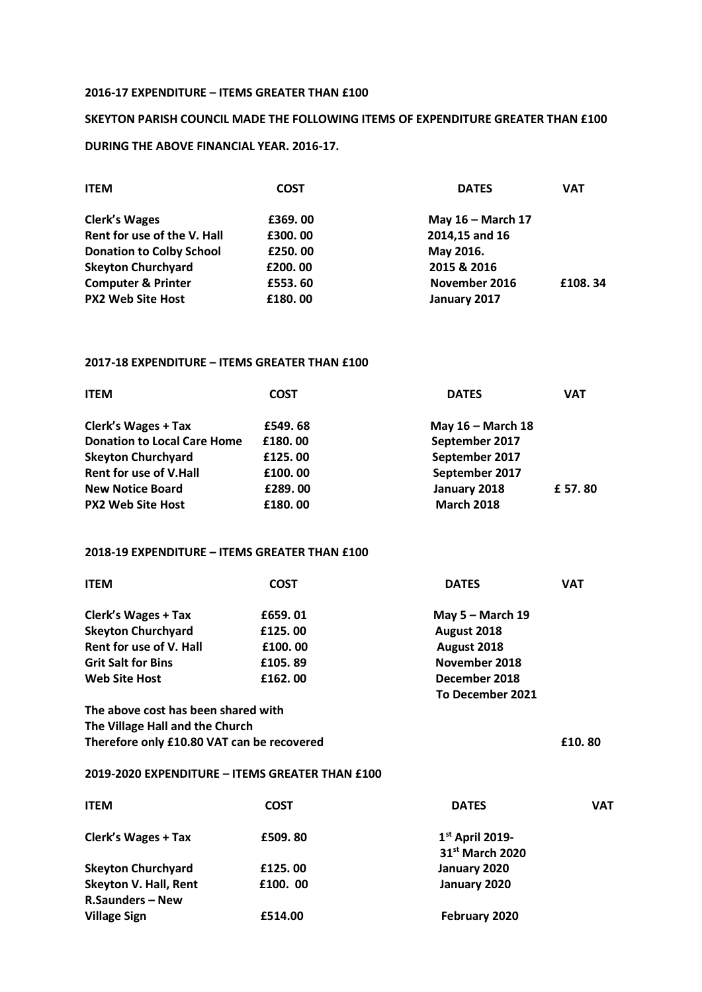#### **2016-17 EXPENDITURE – ITEMS GREATER THAN £100**

# **SKEYTON PARISH COUNCIL MADE THE FOLLOWING ITEMS OF EXPENDITURE GREATER THAN £100 DURING THE ABOVE FINANCIAL YEAR. 2016-17.**

| <b>ITEM</b>                     | <b>COST</b> | <b>DATES</b>        | <b>VAT</b> |
|---------------------------------|-------------|---------------------|------------|
| <b>Clerk's Wages</b>            | £369,00     | May $16$ – March 17 |            |
| Rent for use of the V. Hall     | £300,00     | 2014,15 and 16      |            |
| <b>Donation to Colby School</b> | £250,00     | May 2016.           |            |
| <b>Skeyton Churchyard</b>       | £200.00     | 2015 & 2016         |            |
| <b>Computer &amp; Printer</b>   | £553.60     | November 2016       | £108.34    |
| <b>PX2 Web Site Host</b>        | £180.00     | January 2017        |            |

## **2017-18 EXPENDITURE – ITEMS GREATER THAN £100**

| <b>COST</b> | <b>DATES</b>      | <b>VAT</b> |
|-------------|-------------------|------------|
| £549.68     | May 16 - March 18 |            |
| £180.00     | September 2017    |            |
| £125,00     | September 2017    |            |
| £100.00     | September 2017    |            |
| £289.00     | January 2018      | £ 57.80    |
| £180.00     | <b>March 2018</b> |            |
|             |                   |            |

### **2018-19 EXPENDITURE – ITEMS GREATER THAN £100**

| <b>ITEM</b>                            | <b>COST</b> | <b>DATES</b>       | <b>VAT</b> |
|----------------------------------------|-------------|--------------------|------------|
| <b>Clerk's Wages + Tax</b>             | £659.01     | May $5 -$ March 19 |            |
| <b>Skeyton Churchyard</b>              | £125,00     | August 2018        |            |
| Rent for use of V. Hall                | £100.00     | August 2018        |            |
| <b>Grit Salt for Bins</b>              | £105.89     | November 2018      |            |
| <b>Web Site Host</b>                   | £162,00     | December 2018      |            |
|                                        |             | To December 2021   |            |
| The electric cost has been chound with |             |                    |            |

**The above cost has been shared with The Village Hall and the Church** Therefore only £10.80 VAT can be recovered **E10.80** 

#### **2019-2020 EXPENDITURE – ITEMS GREATER THAN £100**

| <b>ITEM</b>                  | <b>COST</b> | <b>DATES</b>                | <b>VAT</b> |
|------------------------------|-------------|-----------------------------|------------|
| <b>Clerk's Wages + Tax</b>   | £509, 80    | $1st$ April 2019-           |            |
|                              |             | 31 <sup>st</sup> March 2020 |            |
| <b>Skeyton Churchyard</b>    | £125,00     | January 2020                |            |
| <b>Skeyton V. Hall, Rent</b> | £100.00     | January 2020                |            |
| <b>R.Saunders - New</b>      |             |                             |            |
| <b>Village Sign</b>          | £514.00     | February 2020               |            |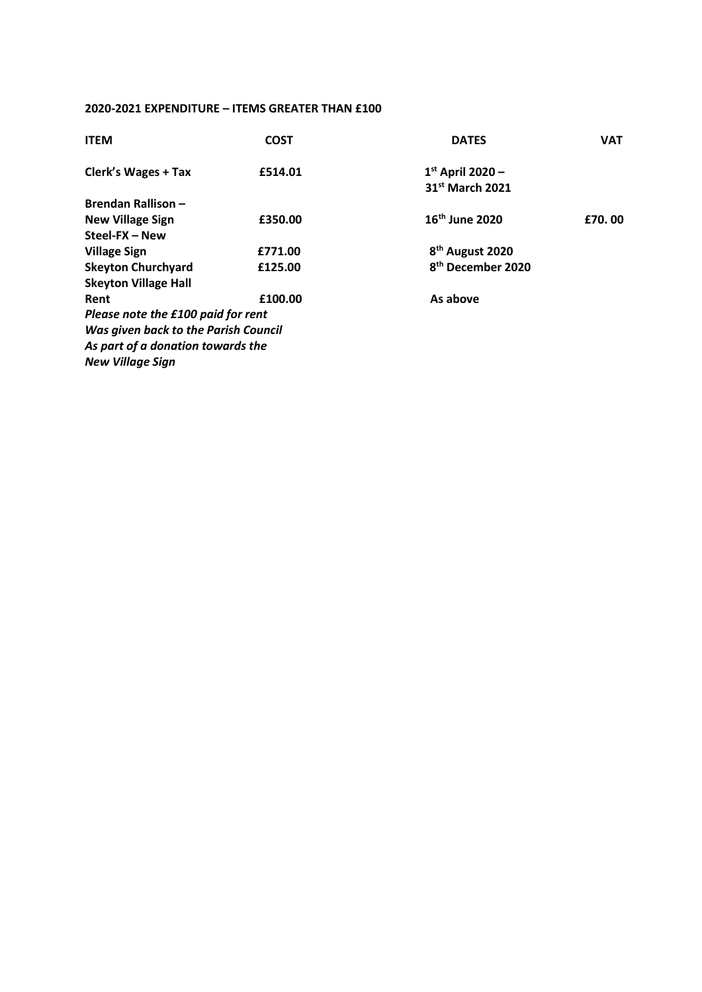## **2020-2021 EXPENDITURE – ITEMS GREATER THAN £100**

| <b>ITEM</b>                          | <b>COST</b> | <b>DATES</b>                  | <b>VAT</b> |
|--------------------------------------|-------------|-------------------------------|------------|
| <b>Clerk's Wages + Tax</b>           | £514.01     | $1st$ April 2020 -            |            |
|                                      |             | 31 <sup>st</sup> March 2021   |            |
| <b>Brendan Rallison -</b>            |             |                               |            |
| <b>New Village Sign</b>              | £350.00     | 16 <sup>th</sup> June 2020    | £70.00     |
| Steel-FX - New                       |             |                               |            |
| <b>Village Sign</b>                  | £771.00     | 8 <sup>th</sup> August 2020   |            |
| <b>Skeyton Churchyard</b>            | £125.00     | 8 <sup>th</sup> December 2020 |            |
| <b>Skeyton Village Hall</b>          |             |                               |            |
| Rent                                 | £100.00     | As above                      |            |
| Please note the £100 paid for rent   |             |                               |            |
| Was given back to the Parish Council |             |                               |            |
| As part of a donation towards the    |             |                               |            |
| <b>New Village Sign</b>              |             |                               |            |